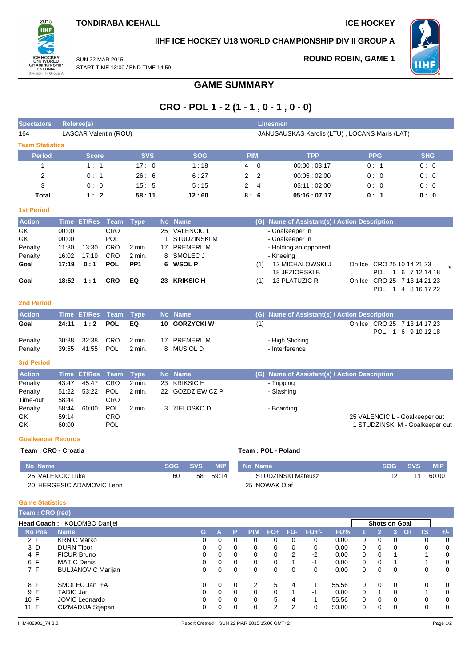

# **IIHF ICE HOCKEY U18 WORLD CHAMPIONSHIP DIV II GROUP A**

18 JEZIORSKI B

SUN 22 MAR 2015 START TIME 13:00 / END TIME 14:59 **ROUND ROBIN, GAME 1**



POL 1 6 7 12 14 18

POL 1 4 8 16 17 22

# **CRO - POL 1 - 2 (1 - 1 , 0 - 1 , 0 - 0) Spectators Referee(s) Linesmen**

| 164                             |                                  | <b>LASCAR Valentin (ROU)</b> |                                               |                  |          |                                                                            |            | JANUSAUSKAS Karolis (LTU), LOCANS Maris (LAT)                            |            |                           |  |
|---------------------------------|----------------------------------|------------------------------|-----------------------------------------------|------------------|----------|----------------------------------------------------------------------------|------------|--------------------------------------------------------------------------|------------|---------------------------|--|
| <b>Team Statistics</b>          |                                  |                              |                                               |                  |          |                                                                            |            |                                                                          |            |                           |  |
| <b>Period</b>                   |                                  | <b>Score</b>                 |                                               | <b>SVS</b>       |          | <b>SOG</b>                                                                 | <b>PIM</b> | <b>TPP</b>                                                               | <b>PPG</b> | <b>SHG</b>                |  |
|                                 |                                  | 1:1                          |                                               | 17:0             |          | 1:18                                                                       | 4:0        | 00:00:03:17                                                              | 0:1        | 0:0                       |  |
| 2                               |                                  | 0:1                          |                                               | 26:6             |          | 6:27                                                                       | 2:2        | 00.05:02:00                                                              | 0:0        | 0:0                       |  |
| 3                               |                                  | 0:0                          |                                               | 15:5             |          | 5:15                                                                       | 2:4        | 05:11:02:00                                                              | 0:0        | 0:0                       |  |
| <b>Total</b>                    |                                  | 1:2                          |                                               | 58:11            |          | 12:60                                                                      | 8:6        | 05:16:07:17                                                              | 0:1        | 0: 0                      |  |
| <b>1st Period</b>               |                                  |                              |                                               |                  |          |                                                                            |            |                                                                          |            |                           |  |
| <b>Action</b>                   | <b>Time</b>                      | <b>ET/Res</b>                | Team                                          | <b>Type</b>      |          | No Name                                                                    | (G)        | <b>Name of Assistant(s) / Action Description</b>                         |            |                           |  |
| GK.<br>GK<br>Penalty<br>Penalty | 00:00<br>00:00<br>11:30<br>16:02 | 13:30<br>17:19               | <b>CRO</b><br>POL<br><b>CRO</b><br><b>CRO</b> | 2 min.<br>2 min. | 25<br>17 | <b>VALENCIC L</b><br><b>STUDZINSKI M</b><br><b>PREMERL M</b><br>8 SMOLEC J |            | - Goalkeeper in<br>- Goalkeeper in<br>- Holding an opponent<br>- Kneeing |            |                           |  |
| Goal                            | 17:19                            | 0:1                          | <b>POL</b>                                    | PP <sub>1</sub>  | 6        | <b>WSOL P</b>                                                              | (1)        | 12 MICHALOWSKI J                                                         |            | On Ice CRO 25 10 14 21 23 |  |

**GAME SUMMARY**

### **2nd Period**

| <b>Action</b>      | Time ET/Res Team Type              |                  | Mo Name                    |     | (G) Name of Assistant(s) / Action Description     |
|--------------------|------------------------------------|------------------|----------------------------|-----|---------------------------------------------------|
| Goal               | 24:11 1:2 POL EQ                   |                  | <b>10 GORZYCKI W</b>       | (1) | On Ice CRO 25 7 13 14 17 23<br>POL 1 6 9 10 12 18 |
| Penalty<br>Penalty | 30:38 32:38 CRO<br>39:55 41:55 POL | 2 min.<br>2 min. | 17 PREMERL M<br>8 MUSIOL D |     | - High Sticking<br>- Interference                 |

**Goal 18:52 1 : 1 CRO EQ 23 KRIKSIC H** (1) 13 PLATUZIC R On Ice CRO 25 7 13 14 21 23

### **3rd Period**

| <b>Action</b> |       | Time ET/Res Team Type |            |          | No Name          | (G) Name of Assistant(s) / Action Description |                                 |
|---------------|-------|-----------------------|------------|----------|------------------|-----------------------------------------------|---------------------------------|
| Penalty       | 43:47 | 45:47                 | <b>CRO</b> | $2$ min. | 23 KRIKSIC H     | - Tripping                                    |                                 |
| Penalty       |       | 51:22 53:22           | POL        | 2 min.   | 22 GOZDZIEWICZ P | - Slashing                                    |                                 |
| Time-out      | 58:44 |                       | CRO        |          |                  |                                               |                                 |
| Penalty       | 58:44 | 60:00                 | <b>POL</b> | 2 min.   | 3 ZIELOSKO D     | - Boarding                                    |                                 |
| GK.           | 59:14 |                       | <b>CRO</b> |          |                  |                                               | 25 VALENCIC L - Goalkeeper out  |
| GK.           | 60:00 |                       | <b>POL</b> |          |                  |                                               | 1 STUDZINSKI M - Goalkeeper out |

### **Goalkeeper Records**

#### **Team : CRO - Croatia Team : POL - Poland**

| No Name                   | <b>SOG</b> | <b>SVS.</b> | <b>MIP</b> | No Name              | <b>SOG</b> | <b>SVS</b> | MIP.  |
|---------------------------|------------|-------------|------------|----------------------|------------|------------|-------|
| 25 VALENCIC Luka          | 60         | 58          | 59:14      | I STUDZINSKI Mateusz |            |            | 60:00 |
| 20 HERGESIC ADAMOVIC Leon |            |             |            | 25 NOWAK Olaf        |            |            |       |

### **Game Statistics**

| Team: CRO (red) |                             |    |          |          |            |       |          |         |       |   |          |                      |    |           |       |
|-----------------|-----------------------------|----|----------|----------|------------|-------|----------|---------|-------|---|----------|----------------------|----|-----------|-------|
|                 | Head Coach: KOLOMBO Danijel |    |          |          |            |       |          |         |       |   |          | <b>Shots on Goal</b> |    |           |       |
| <b>No Pos</b>   | <b>Name</b>                 | G. |          | Р        | <b>PIM</b> | $FO+$ | FO-      | $FO+/-$ | FO%   |   | v.       |                      | ΟТ | <b>TS</b> | $+/-$ |
| 2 F             | <b>KRNIC Marko</b>          | 0  | 0        | 0        | 0          | 0     | 0        | 0       | 0.00  | 0 | $\Omega$ | 0                    |    | 0         | 0     |
| 3 D             | <b>DURN Tibor</b>           |    | 0        | 0        | 0          | 0     | 0        | 0       | 0.00  | 0 | $\Omega$ | $\Omega$             |    | 0         | 0     |
| 4 F             | <b>FICUR Bruno</b>          | 0  |          | $\Omega$ | 0          | 0     | 2        | $-2$    | 0.00  | 0 | $\Omega$ |                      |    |           | 0     |
| 6 F             | <b>MATIC Denis</b>          | 0  | $\Omega$ | $\Omega$ | 0          | 0     |          | $-1$    | 0.00  | 0 | $\Omega$ |                      |    |           | 0     |
| 7 F             | <b>BULJANOVIC Marijan</b>   | 0  |          | $\Omega$ | 0          | 0     | $\Omega$ | 0       | 0.00  | 0 | $\Omega$ | $\Omega$             |    | 0         | 0     |
| 8 F             | SMOLEC Jan +A               | 0  | $\Omega$ | $\Omega$ | 2          | 5     | 4        |         | 55.56 | 0 | $\Omega$ | $\Omega$             |    | 0         | 0     |
| 9 F             | TADIC Jan                   | 0  | 0        | 0        | 0          | 0     |          | -1      | 0.00  | 0 |          | 0                    |    |           | 0     |
| 10 F            | JOVIC Leonardo              | 0  |          | $\Omega$ | $\Omega$   | 5     | 4        |         | 55.56 | 0 | $\Omega$ | 0                    |    | 0         | 0     |
| 11 F            | CIZMADIJA Stjepan           | 0  |          | 0        | 0          | 2     | 2        |         | 50.00 | 0 | ∩        | 0                    |    | 0         | 0     |